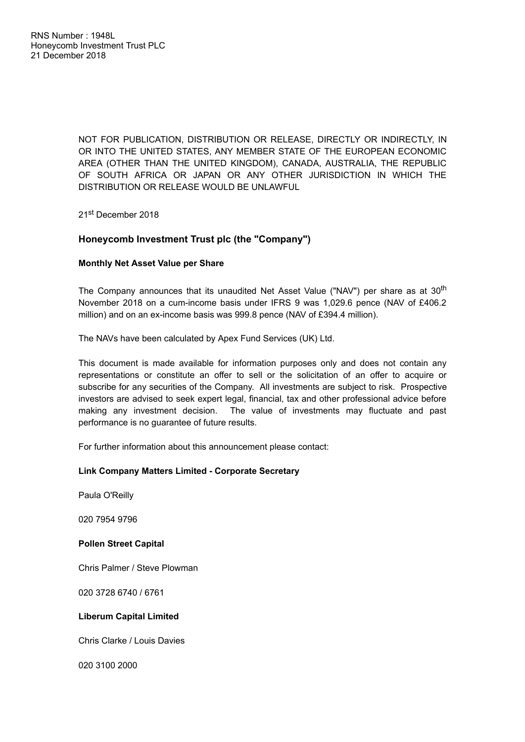NOT FOR PUBLICATION, DISTRIBUTION OR RELEASE, DIRECTLY OR INDIRECTLY, IN OR INTO THE UNITED STATES, ANY MEMBER STATE OF THE EUROPEAN ECONOMIC AREA (OTHER THAN THE UNITED KINGDOM), CANADA, AUSTRALIA, THE REPUBLIC OF SOUTH AFRICA OR JAPAN OR ANY OTHER JURISDICTION IN WHICH THE DISTRIBUTION OR RELEASE WOULD BE UNLAWFUL

21<sup>st</sup> December 2018

# **Honeycomb Investment Trust plc (the "Company")**

## **Monthly Net Asset Value per Share**

The Company announces that its unaudited Net Asset Value ("NAV") per share as at  $30^\mathrm{th}$ November 2018 on a cum-income basis under IFRS 9 was 1,029.6 pence (NAV of £406.2 million) and on an ex-income basis was 999.8 pence (NAV of £394.4 million).

The NAVs have been calculated by Apex Fund Services (UK) Ltd.

This document is made available for information purposes only and does not contain any representations or constitute an offer to sell or the solicitation of an offer to acquire or subscribe for any securities of the Company. All investments are subject to risk. Prospective investors are advised to seek expert legal, financial, tax and other professional advice before making any investment decision. The value of investments may fluctuate and past performance is no guarantee of future results.

For further information about this announcement please contact:

## **Link Company Matters Limited - Corporate Secretary**

Paula O'Reilly

020 7954 9796

## **Pollen Street Capital**

Chris Palmer / Steve Plowman

020 3728 6740 / 6761

## **Liberum Capital Limited**

Chris Clarke / Louis Davies

020 3100 2000